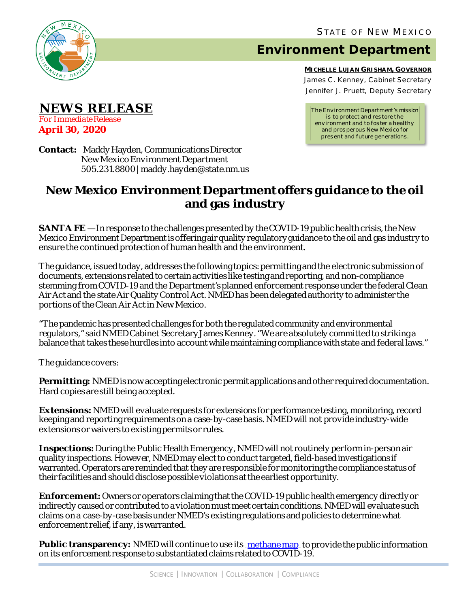

<sup>U</sup>**NEWS RELEASE**

*For Immediate Release* **April 30, 2020**

# **Environment Department**

**MICHELLE LUJAN GRISHAM, GOVERNOR** James C . Kenney, Cabinet Secretary Jennifer J. Pruett, Deputy Secretary

*The Environment Department's mission is to protect and res tore the environment and to fos ter a healthy and pros perous New Mexico for pres ent and future generations.*

**Contact:** Maddy Hayden, Communications Director New Mexico Environment Department 505.231.8800 | maddy.hayden@state.nm.us

## **New Mexico Environment Department offers guidance to the oil and gas industry**

**SANTA FE** — In response to the challenges presented by the COVID-19 public health crisis, the New Mexico Environment Department is offering air quality regulatory guidance to the oil and gas industry to ensure the continued protection of human health and the environment.

The guidance, issued today, addresses the following topics: permitting and the electronic submission of documents, extensions related to certain activities like testing and reporting, and non-compliance stemming from COVID-19 and the Department's planned enforcement response under the federal Clean Air Act and the state Air Quality Control Act. NMED has been delegated authority to administer the portions of the Clean Air Act in New Mexico.

"The pandemic has presented challenges for both the regulated community and environmental regulators," said NMED Cabinet Secretary James Kenney. "We are absolutely committed to striking a balance that takes these hurdles into account while maintaining compliance with state and federal laws."

The guidance covers:

**Permitting:** NMED is now accepting electronic permit applications and other required documentation. Hard copies are still being accepted.

**Extensions:**NMED will evaluate requests for extensions for performance testing, monitoring, record keeping and reporting requirements on a case-by-case basis. NMED will not provide industry-wide extensions or waivers to existing permits or rules.

**Inspections:**During the Public Health Emergency, NMED will not routinely perform in-person air quality inspections. However, NMED may elect to conduct targeted, field-based investigations if warranted. Operators are reminded that they are responsible for monitoring the compliance status of their facilities and should disclose possible violations at the earliest opportunity.

**Enforcement:**Owners or operators claiming that the COVID-19 public health emergency directly or indirectly caused or contributed to a violation must meet certain conditions. NMED will evaluate such claims on a case-by-case basis under NMED's existing regulations and policies to determine what enforcement relief, if any, is warranted.

**Public transparency:** NMED will continue to use its [methane map](https://gis.web.env.nm.gov/oem/?map=methane) to provide the public information on its enforcement response to substantiated claims related to COVID-19.